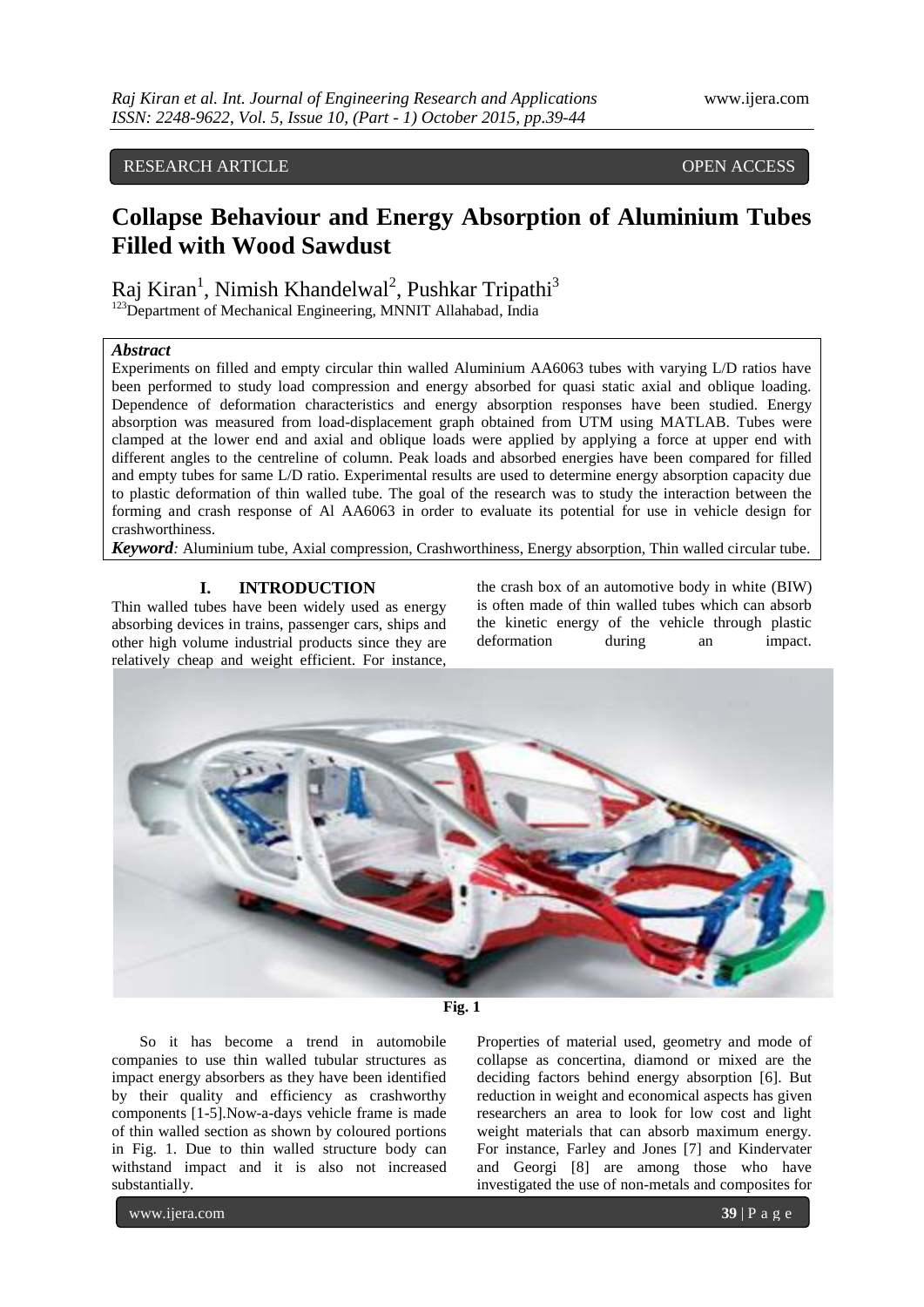### RESEARCH ARTICLE **CONSERVERS** OPEN ACCESS

# **Collapse Behaviour and Energy Absorption of Aluminium Tubes Filled with Wood Sawdust**

Raj Kiran<sup>1</sup>, Nimish Khandelwal<sup>2</sup>, Pushkar Tripathi<sup>3</sup>

<sup>123</sup>Department of Mechanical Engineering, MNNIT Allahabad, India

#### *Abstract*

Experiments on filled and empty circular thin walled Aluminium AA6063 tubes with varying L/D ratios have been performed to study load compression and energy absorbed for quasi static axial and oblique loading. Dependence of deformation characteristics and energy absorption responses have been studied. Energy absorption was measured from load-displacement graph obtained from UTM using MATLAB. Tubes were clamped at the lower end and axial and oblique loads were applied by applying a force at upper end with different angles to the centreline of column. Peak loads and absorbed energies have been compared for filled and empty tubes for same L/D ratio. Experimental results are used to determine energy absorption capacity due to plastic deformation of thin walled tube. The goal of the research was to study the interaction between the forming and crash response of Al AA6063 in order to evaluate its potential for use in vehicle design for crashworthiness.

*Keyword:* Aluminium tube, Axial compression, Crashworthiness, Energy absorption, Thin walled circular tube.

#### **I. INTRODUCTION**

Thin walled tubes have been widely used as energy absorbing devices in trains, passenger cars, ships and other high volume industrial products since they are relatively cheap and weight efficient. For instance,

the crash box of an automotive body in white (BIW) is often made of thin walled tubes which can absorb the kinetic energy of the vehicle through plastic deformation during an impact.





So it has become a trend in automobile companies to use thin walled tubular structures as impact energy absorbers as they have been identified by their quality and efficiency as crashworthy components [1-5].Now-a-days vehicle frame is made of thin walled section as shown by coloured portions in Fig. 1. Due to thin walled structure body can withstand impact and it is also not increased substantially.

Properties of material used, geometry and mode of collapse as concertina, diamond or mixed are the deciding factors behind energy absorption [6]. But reduction in weight and economical aspects has given researchers an area to look for low cost and light weight materials that can absorb maximum energy. For instance, Farley and Jones [7] and Kindervater and Georgi [8] are among those who have investigated the use of non-metals and composites for

www.ijera.com **39** | P a g e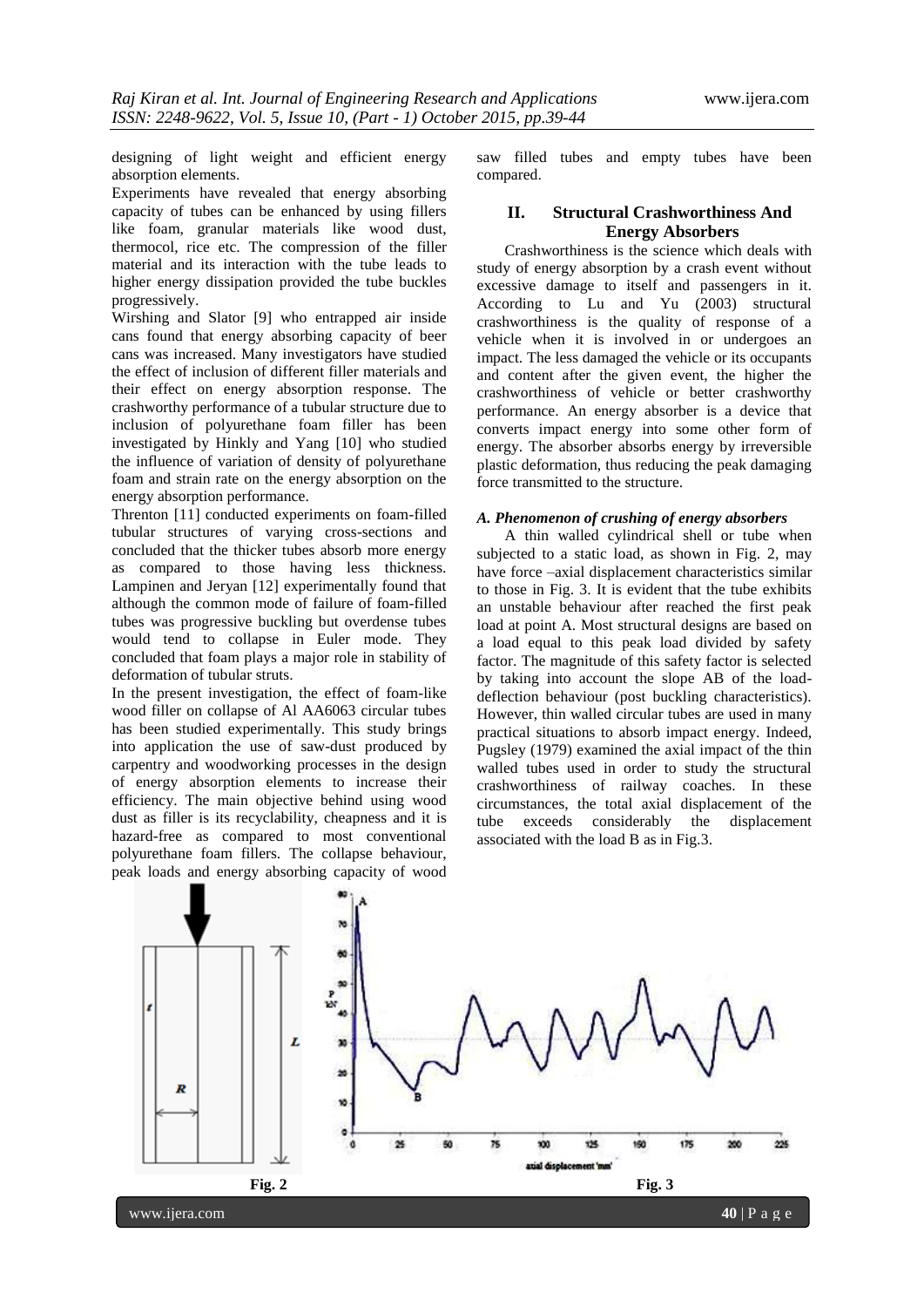designing of light weight and efficient energy absorption elements.

Experiments have revealed that energy absorbing capacity of tubes can be enhanced by using fillers like foam, granular materials like wood dust, thermocol, rice etc. The compression of the filler material and its interaction with the tube leads to higher energy dissipation provided the tube buckles progressively.

Wirshing and Slator [9] who entrapped air inside cans found that energy absorbing capacity of beer cans was increased. Many investigators have studied the effect of inclusion of different filler materials and their effect on energy absorption response. The crashworthy performance of a tubular structure due to inclusion of polyurethane foam filler has been investigated by Hinkly and Yang [10] who studied the influence of variation of density of polyurethane foam and strain rate on the energy absorption on the energy absorption performance.

Threnton [11] conducted experiments on foam-filled tubular structures of varying cross-sections and concluded that the thicker tubes absorb more energy as compared to those having less thickness. Lampinen and Jeryan [12] experimentally found that although the common mode of failure of foam-filled tubes was progressive buckling but overdense tubes would tend to collapse in Euler mode. They concluded that foam plays a major role in stability of deformation of tubular struts.

In the present investigation, the effect of foam-like wood filler on collapse of Al AA6063 circular tubes has been studied experimentally. This study brings into application the use of saw-dust produced by carpentry and woodworking processes in the design of energy absorption elements to increase their efficiency. The main objective behind using wood dust as filler is its recyclability, cheapness and it is hazard-free as compared to most conventional polyurethane foam fillers. The collapse behaviour, peak loads and energy absorbing capacity of wood

saw filled tubes and empty tubes have been compared.

#### **II. Structural Crashworthiness And Energy Absorbers**

Crashworthiness is the science which deals with study of energy absorption by a crash event without excessive damage to itself and passengers in it. According to Lu and Yu  $(2003)$  structural crashworthiness is the quality of response of a vehicle when it is involved in or undergoes an impact. The less damaged the vehicle or its occupants and content after the given event, the higher the crashworthiness of vehicle or better crashworthy performance. An energy absorber is a device that converts impact energy into some other form of energy. The absorber absorbs energy by irreversible plastic deformation, thus reducing the peak damaging force transmitted to the structure.

#### *A. Phenomenon of crushing of energy absorbers*

A thin walled cylindrical shell or tube when subjected to a static load, as shown in Fig. 2, may have force –axial displacement characteristics similar to those in Fig. 3. It is evident that the tube exhibits an unstable behaviour after reached the first peak load at point A. Most structural designs are based on a load equal to this peak load divided by safety factor. The magnitude of this safety factor is selected by taking into account the slope AB of the loaddeflection behaviour (post buckling characteristics). However, thin walled circular tubes are used in many practical situations to absorb impact energy. Indeed, Pugsley (1979) examined the axial impact of the thin walled tubes used in order to study the structural crashworthiness of railway coaches. In these circumstances, the total axial displacement of the tube exceeds considerably the displacement associated with the load B as in Fig.3.

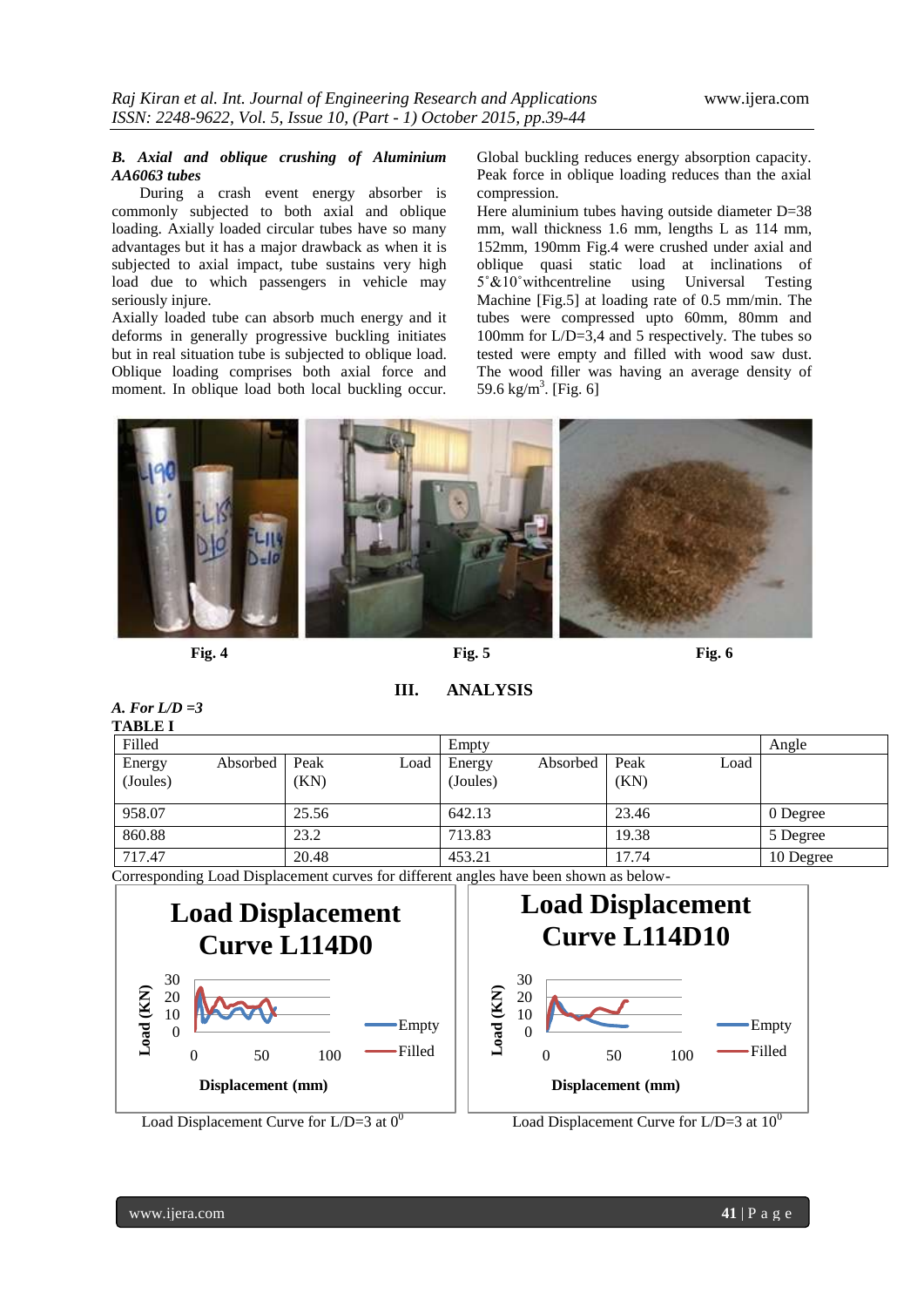#### *B. Axial and oblique crushing of Aluminium AA6063 tubes*

During a crash event energy absorber is commonly subjected to both axial and oblique loading. Axially loaded circular tubes have so many advantages but it has a major drawback as when it is subjected to axial impact, tube sustains very high load due to which passengers in vehicle may seriously injure.

Axially loaded tube can absorb much energy and it deforms in generally progressive buckling initiates but in real situation tube is subjected to oblique load. Oblique loading comprises both axial force and moment. In oblique load both local buckling occur. Global buckling reduces energy absorption capacity. Peak force in oblique loading reduces than the axial compression.

Here aluminium tubes having outside diameter D=38 mm, wall thickness 1.6 mm, lengths L as 114 mm, 152mm, 190mm Fig.4 were crushed under axial and oblique quasi static load at inclinations of 5˚&10˚withcentreline using Universal Testing Machine [Fig.5] at loading rate of 0.5 mm/min. The tubes were compressed upto 60mm, 80mm and 100mm for L/D=3,4 and 5 respectively. The tubes so tested were empty and filled with wood saw dust. The wood filler was having an average density of 59.6 kg/m<sup>3</sup>. [Fig. 6]



**III. ANALYSIS**

| A. For $L/D = 3$<br><b>TABLE I</b>                                                    |          |              |      |                    |          |              |      |           |
|---------------------------------------------------------------------------------------|----------|--------------|------|--------------------|----------|--------------|------|-----------|
| Filled                                                                                |          |              |      | Empty              |          |              |      | Angle     |
| Energy<br>(Joules)                                                                    | Absorbed | Peak<br>(KN) | Load | Energy<br>(Joules) | Absorbed | Peak<br>(KN) | Load |           |
| 958.07                                                                                |          | 25.56        |      | 642.13             |          | 23.46        |      | 0 Degree  |
| 860.88                                                                                |          | 23.2         |      | 713.83             |          | 19.38        |      | 5 Degree  |
| 717.47                                                                                |          | 20.48        |      | 453.21             |          | 17.74        |      | 10 Degree |
| Corresponding Load Displacement curves for different angles have been shown as below- |          |              |      |                    |          |              |      |           |

Corresponding Load Displacement curves for different angles have been shown as below-



Load Displacement Curve for  $L/D=3$  at  $0^0$ 

0 10 20 30 **Load (KN)** 0 50 100 **Displacement (mm) Load Displacement Curve L114D10** Empty Filled

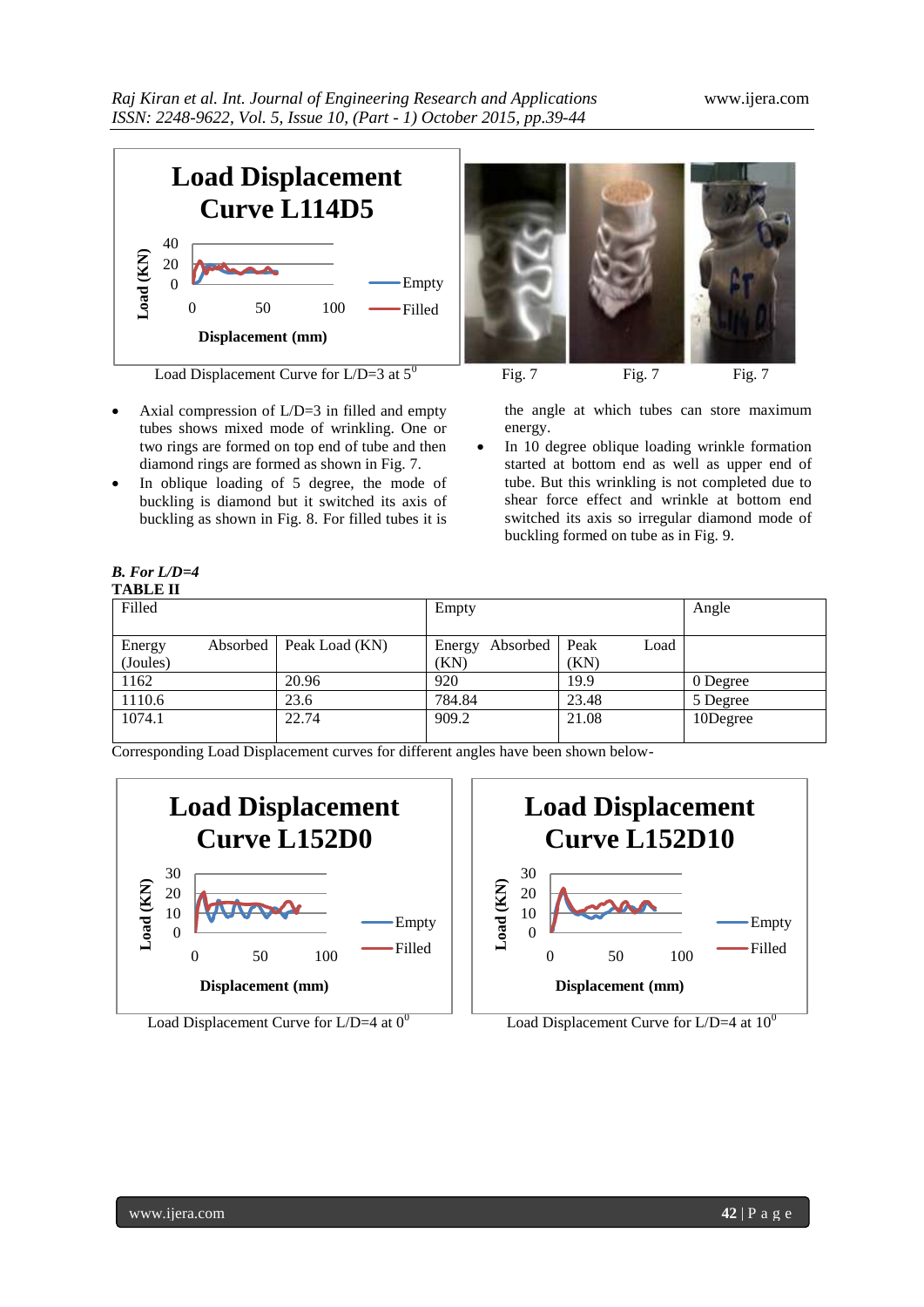

Load Displacement Curve for  $L/D=3$  at  $5^0$  Fig. 7 Fig. 7 Fig. 7 Fig. 7

- Axial compression of L/D=3 in filled and empty tubes shows mixed mode of wrinkling. One or two rings are formed on top end of tube and then diamond rings are formed as shown in Fig. 7.
- In oblique loading of 5 degree, the mode of buckling is diamond but it switched its axis of buckling as shown in Fig. 8. For filled tubes it is



the angle at which tubes can store maximum energy.

 In 10 degree oblique loading wrinkle formation started at bottom end as well as upper end of tube. But this wrinkling is not completed due to shear force effect and wrinkle at bottom end switched its axis so irregular diamond mode of buckling formed on tube as in Fig. 9.

## *B. For L/D=4*

| <b>TABLE II</b> |          |                |                 |              |          |
|-----------------|----------|----------------|-----------------|--------------|----------|
| Filled          |          |                | Empty           |              | Angle    |
|                 |          |                |                 |              |          |
| Energy          | Absorbed | Peak Load (KN) | Energy Absorbed | Peak<br>Load |          |
| (Joules)        |          |                | (KN)            | (KN)         |          |
| 1162            |          | 20.96          | 920             | 19.9         | 0 Degree |
| 1110.6          |          | 23.6           | 784.84          | 23.48        | 5 Degree |
| 1074.1          |          | 22.74          | 909.2           | 21.08        | 10Degree |
|                 |          |                |                 |              |          |

Corresponding Load Displacement curves for different angles have been shown below-







Load Displacement Curve for  $L/D=4$  at  $10^0$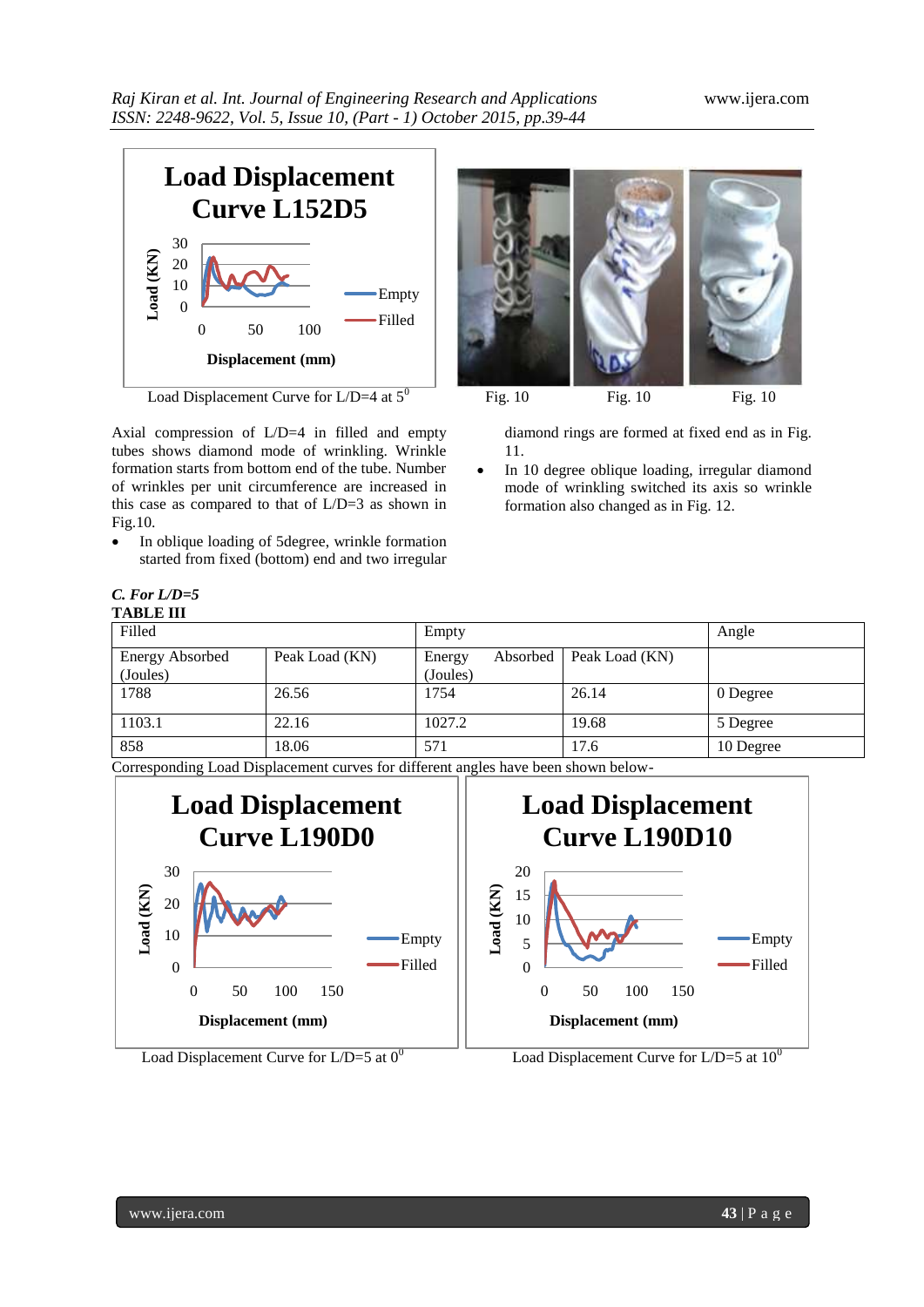

Load Displacement Curve for  $L/D=4$  at  $5^0$  Fig. 10 Fig. 10 Fig. 10

Axial compression of L/D=4 in filled and empty tubes shows diamond mode of wrinkling. Wrinkle formation starts from bottom end of the tube. Number of wrinkles per unit circumference are increased in this case as compared to that of L/D=3 as shown in Fig.10.

• In oblique loading of 5degree, wrinkle formation started from fixed (bottom) end and two irregular

diamond rings are formed at fixed end as in Fig. 11.

 In 10 degree oblique loading, irregular diamond mode of wrinkling switched its axis so wrinkle formation also changed as in Fig. 12.

| $C. For L/D=5$   |  |
|------------------|--|
| <b>TABLE III</b> |  |

| Filled                             | Empty          |                    | Angle    |                |           |
|------------------------------------|----------------|--------------------|----------|----------------|-----------|
| <b>Energy Absorbed</b><br>(Joules) | Peak Load (KN) | Energy<br>(Joules) | Absorbed | Peak Load (KN) |           |
| 1788                               | 26.56          | 1754               |          | 26.14          | 0 Degree  |
| 1103.1                             | 22.16          | 1027.2             |          | 19.68          | 5 Degree  |
| 858                                | 18.06          | 571                |          | 17.6           | 10 Degree |

Corresponding Load Displacement curves for different angles have been shown below-



Load Displacement Curve for L/D=5 at  $0^0$  Load Displacement Curve for L/D=5 at  $10^0$